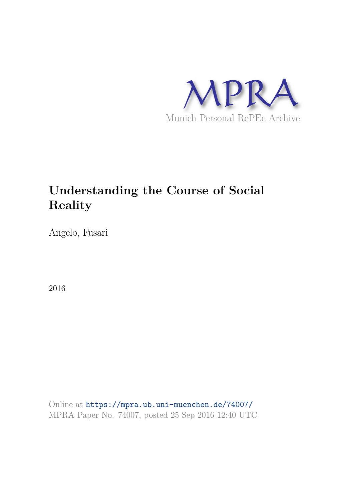

## **Understanding the Course of Social Reality**

Angelo, Fusari

2016

Online at https://mpra.ub.uni-muenchen.de/74007/ MPRA Paper No. 74007, posted 25 Sep 2016 12:40 UTC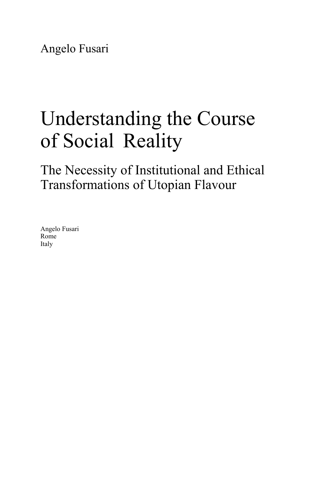Angelo Fusari

# Understanding the Course of Social Reality

The Necessity of Institutional and Ethical Transformations of Utopian Flavour

Angelo Fusari Rome Italy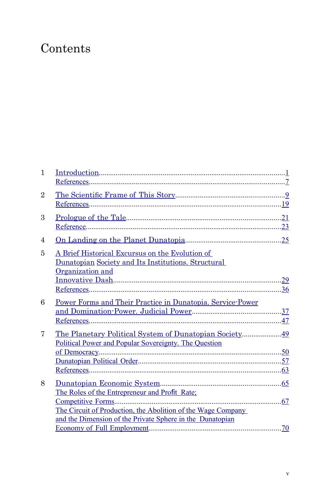### Contents

| 1              |                                                                                                                            |            |
|----------------|----------------------------------------------------------------------------------------------------------------------------|------------|
| $\overline{2}$ | References.                                                                                                                |            |
| 3              | Reference.                                                                                                                 |            |
| 4              |                                                                                                                            |            |
| 5              | A Brief Historical Excursus on the Evolution of<br>Dunatopian Society and Its Institutions. Structural<br>Organization and | 29<br>.36  |
| 6              | Power Forms and Their Practice in Dunatopia. Service Power                                                                 | .37<br>.47 |
| 7              | The Planetary Political System of Dunatopian Society<br>Political Power and Popular Sovereignty. The Question              | .49        |
|                |                                                                                                                            |            |
| 8              | The Roles of the Entrepreneur and Profit Rate;                                                                             |            |
|                | The Circuit of Production, the Abolition of the Wage Company<br>and the Dimension of the Private Sphere in the Dunatopian  | 67         |
|                |                                                                                                                            | 70         |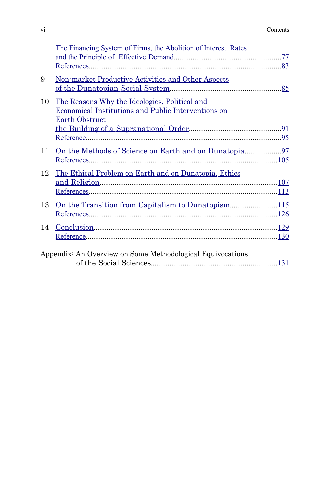|    | The Financing System of Firms, the Abolition of Interest Rates                                                                       |      |
|----|--------------------------------------------------------------------------------------------------------------------------------------|------|
|    |                                                                                                                                      |      |
|    |                                                                                                                                      |      |
| 9  | Non-market Productive Activities and Other Aspects                                                                                   | .85  |
| 10 | The Reasons Why the Ideologies, Political and<br><b>Economical Institutions and Public Interventions on</b><br><b>Earth Obstruct</b> |      |
|    |                                                                                                                                      |      |
|    |                                                                                                                                      |      |
| 11 |                                                                                                                                      |      |
|    |                                                                                                                                      |      |
| 12 | The Ethical Problem on Earth and on Dunatopia. Ethics                                                                                |      |
|    |                                                                                                                                      |      |
|    |                                                                                                                                      |      |
| 13 | On the Transition from Capitalism to Dunatopism115                                                                                   |      |
| 14 |                                                                                                                                      |      |
|    |                                                                                                                                      |      |
|    | Appendix: An Overview on Some Methodological Equivocations                                                                           | .131 |
|    |                                                                                                                                      |      |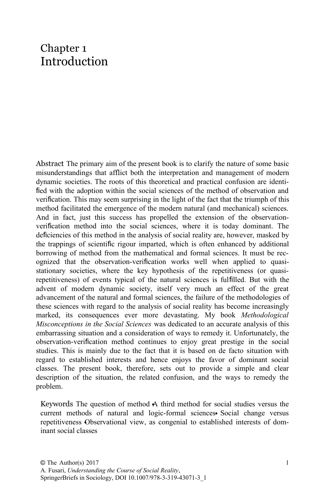#### Chapter<sub>1</sub> **Introduction**

Abstract The primary aim of the present book is to clarify the nature of some basic misunderstandings that afflict both the interpretation and management of modern dynamic societies. The roots of this theoretical and practical confusion are identified with the adoption within the social sciences of the method of observation and verification. This may seem surprising in the light of the fact that the triumph of this method facilitated the emergence of the modern natural (and mechanical) sciences. And in fact, just this success has propelled the extension of the observationverification method into the social sciences, where it is today dominant. The deficiencies of this method in the analysis of social reality are, however, masked by the trappings of scientific rigour imparted, which is often enhanced by additional borrowing of method from the mathematical and formal sciences. It must be recognized that the observation-verification works well when applied to quasistationary societies, where the key hypothesis of the repetitiveness (or quasirepetitiveness) of events typical of the natural sciences is fulfilled. But with the advent of modern dynamic society, itself very much an effect of the great advancement of the natural and formal sciences, the failure of the methodologies of these sciences with regard to the analysis of social reality has become increasingly marked, its consequences ever more devastating. My book *Methodological Misconceptions in the Social Sciences* was dedicated to an accurate analysis of this embarrassing situation and a consideration of ways to remedy it. Unfortunately, the observation-verification method continues to enjoy great prestige in the social studies. This is mainly due to the fact that it is based on de facto situation with regard to established interests and hence enjoys the favor of dominant social classes. The present book, therefore, sets out to provide a simple and clear description of the situation, the related confusion, and the ways to remedy the problem.

**·** repetitiveness Observational view, as congenial to established interests of dom-**Example 2018** The question of method *i* and method for social statics versus the current methods of natural and logic-formal sciences. Social change versus **·** Keywords The question of method A third method for social studies versus the inant social classes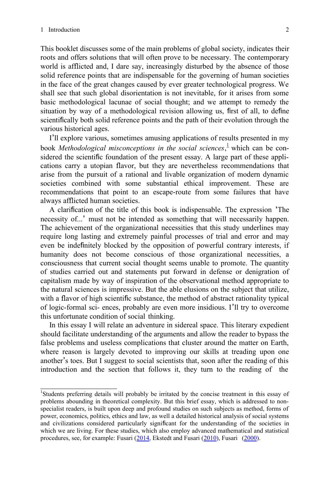This booklet discusses some of the main problems of global society, indicates their roots and offers solutions that will often prove to be necessary. The contemporary world is afflicted and, I dare say, increasingly disturbed by the absence of those solid reference points that are indispensable for the governing of human societies in the face of the great changes caused by ever greater technological progress. We shall see that such global disorientation is not inevitable, for it arises from some basic methodological lacunae of social thought; and we attempt to remedy the situation by way of a methodological revision allowing us, first of all, to define scientifically both solid reference points and the path of their evolution through the various historical ages.

I'll explore various, sometimes amusing applications of results presented in my book *Methodological misconceptions in the social sciences*, <sup>1</sup> which can be considered the scientific foundation of the present essay. A large part of these applications carry a utopian flavor, but they are nevertheless recommendations that arise from the pursuit of a rational and livable organization of modern dynamic societies combined with some substantial ethical improvement. These are recommendations that point to an escape-route from some failures that have always afflicted human societies.

A clarification of the title of this book is indispensable. The expression 'The necessity of...' must not be intended as something that will necessarily happen. The achievement of the organizational necessities that this study underlines may require long lasting and extremely painful processes of trial and error and may even be indefinitely blocked by the opposition of powerful contrary interests, if humanity does not become conscious of those organizational necessities, a consciousness that current social thought seems unable to promote. The quantity of studies carried out and statements put forward in defense or denigration of capitalism made by way of inspiration of the observational method appropriate to the natural sciences is impressive. But the able elusions on the subject that utilize, with a flavor of high scientific substance, the method of abstract rationality typical of logic-formal sci- ences, probably are even more insidious. I'll try to overcome this unfortunate condition of social thinking.

In this essay I will relate an adventure in sidereal space. This literary expedient should facilitate understanding of the arguments and allow the reader to bypass the false problems and useless complications that cluster around the matter on Earth, where reason is largely devoted to improving our skills at treading upon one another's toes. But I suggest to social scientists that, soon after the reading of this introduction and the section that follows it, they turn to the reading of the

<sup>&</sup>lt;sup>1</sup>Students preferring details will probably be irritated by the concise treatment in this essay of problems abounding in theoretical complexity. But this brief essay, which is addressed to nonspecialist readers, is built upon deep and profound studies on such subjects as method, forms of power, economics, politics, ethics and law, as well a detailed historical analysis of social systems and civilizations considered particularly significant for the understanding of the societies in which we are living. For these studies, which also employ advanced mathematical and statistical procedures, see, for example: Fusari (2014, Ekstedt and Fusari (2010), Fusari (2000).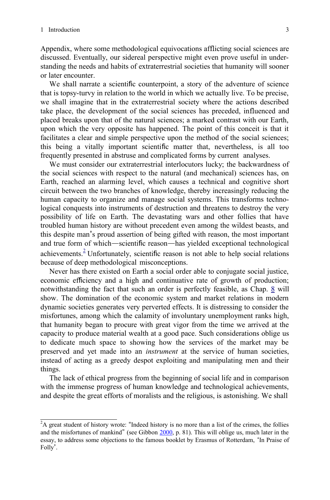Appendix, where some methodological equivocations afflicting social sciences are discussed. Eventually, our sidereal perspective might even prove useful in understanding the needs and habits of extraterrestrial societies that humanity will sooner or later encounter.

We shall narrate a scientific counterpoint, a story of the adventure of science that is topsy-turvy in relation to the world in which we actually live. To be precise, we shall imagine that in the extraterrestrial society where the actions described take place, the development of the social sciences has preceded, influenced and placed breaks upon that of the natural sciences; a marked contrast with our Earth, upon which the very opposite has happened. The point of this conceit is that it facilitates a clear and simple perspective upon the method of the social sciences; this being a vitally important scientific matter that, nevertheless, is all too frequently presented in abstruse and complicated forms by current analyses.

We must consider our extraterrestrial interlocutors lucky; the backwardness of the social sciences with respect to the natural (and mechanical) sciences has, on Earth, reached an alarming level, which causes a technical and cognitive short circuit between the two branches of knowledge, thereby increasingly reducing the human capacity to organize and manage social systems. This transforms technological conquests into instruments of destruction and threatens to destroy the very possibility of life on Earth. The devastating wars and other follies that have troubled human history are without precedent even among the wildest beasts, and this despite man's proud assertion of being gifted with reason, the most important and true form of which—scientific reason—has yielded exceptional technological achievements. $<sup>2</sup>$  Unfortunately, scientific reason is not able to help social relations</sup> because of deep methodological misconceptions.

Never has there existed on Earth a social order able to conjugate social justice, economic efficiency and a high and continuative rate of growth of production; notwithstanding the fact that such an order is perfectly feasible, as Chap. 8 will show. The domination of the economic system and market relations in modern dynamic societies generates very perverted effects. It is distressing to consider the misfortunes, among which the calamity of involuntary unemployment ranks high, that humanity began to procure with great vigor from the time we arrived at the capacity to produce material wealth at a good pace. Such considerations oblige us to dedicate much space to showing how the services of the market may be preserved and yet made into an *instrument* at the service of human societies, instead of acting as a greedy despot exploiting and manipulating men and their things.

The lack of ethical progress from the beginning of social life and in comparison with the immense progress of human knowledge and technological achievements, and despite the great efforts of moralists and the religious, is astonishing. We shall

<sup>&</sup>lt;sup>2</sup>A great student of history wrote: "Indeed history is no more than a list of the crimes, the follies and the misfortunes of mankind" (see Gibbon 2000, p. 81). This will oblige us, much later in the essay, to address some objections to the famous booklet by Erasmus of Rotterdam, 'In Praise of Folly'.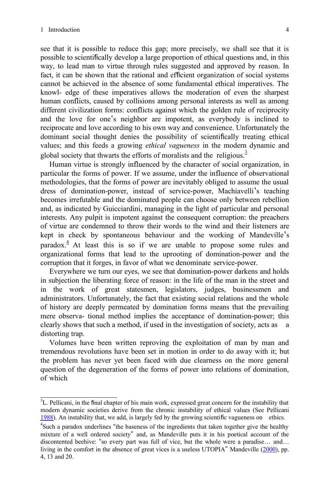see that it is possible to reduce this gap; more precisely, we shall see that it is possible to scientifically develop a large proportion of ethical questions and, in this way, to lead man to virtue through rules suggested and approved by reason. In fact, it can be shown that the rational and efficient organization of social systems cannot be achieved in the absence of some fundamental ethical imperatives. The knowl- edge of these imperatives allows the moderation of even the sharpest human conflicts, caused by collisions among personal interests as well as among different civilization forms: conflicts against which the golden rule of reciprocity and the love for one's neighbor are impotent, as everybody is inclined to reciprocate and love according to his own way and convenience. Unfortunately the dominant social thought denies the possibility of scientifically treating ethical values; and this feeds a growing *ethical vagueness* in the modern dynamic and global society that thwarts the efforts of moralists and the religious. $3\frac{3}{2}$ 

Human virtue is strongly influenced by the character of social organization, in particular the forms of power. If we assume, under the influence of observational methodologies, that the forms of power are inevitably obliged to assume the usual dress of domination-power, instead of service-power, Machiavelli's teaching becomes irrefutable and the dominated people can choose only between rebellion and, as indicated by Guicciardini, managing in the light of particular and personal interests. Any pulpit is impotent against the consequent corruption: the preachers of virtue are condemned to throw their words to the wind and their listeners are kept in check by spontaneous behaviour and the working of Mandeville's paradox. $4$  At least this is so if we are unable to propose some rules and organizational forms that lead to the uprooting of domination-power and the corruption that it forges, in favor of what we denominate service-power.

Everywhere we turn our eyes, we see that domination-power darkens and holds in subjection the liberating force of reason: in the life of the man in the street and in the work of great statesmen, legislators, judges, businessmen and administrators. Unfortunately, the fact that existing social relations and the whole of history are deeply permeated by domination forms means that the prevailing mere observa- tional method implies the acceptance of domination-power; this clearly shows that such a method, if used in the investigation of society, acts as a distorting trap.

Volumes have been written reproving the exploitation of man by man and tremendous revolutions have been set in motion in order to do away with it; but the problem has never yet been faced with due clearness on the more general question of the degeneration of the forms of power into relations of domination, of which

<sup>&</sup>lt;sup>3</sup>L. Pellicani, in the final chapter of his main work, expressed great concern for the instability that modern dynamic societies derive from the chronic instability of ethical values (See Pellicani 1988). An instability that, we add, is largely fed by the growing scientific vagueness on ethics.

<sup>&</sup>lt;sup>4</sup>Such a paradox underlines "the baseness of the ingredients that taken together give the healthy mixture of a well ordered society" and, as Mandeville puts it in his poetical account of the discontented beehive: "so every part was full of vice, but the whole were a paradise… and… living in the comfort in the absence of great vices is a useless UTOPIA" Mandeville (2000), pp. 4, 13 and 20.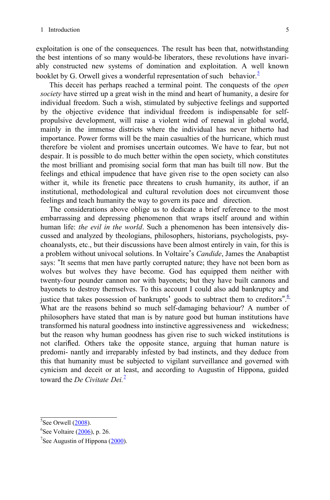exploitation is one of the consequences. The result has been that, notwithstanding the best intentions of so many would-be liberators, these revolutions have invariably constructed new systems of domination and exploitation. A well known booklet by G. Orwell gives a wonderful representation of such behavior. $\frac{5}{5}$ 

This deceit has perhaps reached a terminal point. The conquests of the *open society* have stirred up a great wish in the mind and heart of humanity, a desire for individual freedom. Such a wish, stimulated by subjective feelings and supported by the objective evidence that individual freedom is indispensable for selfpropulsive development, will raise a violent wind of renewal in global world, mainly in the immense districts where the individual has never hitherto had importance. Power forms will be the main casualties of the hurricane, which must therefore be violent and promises uncertain outcomes. We have to fear, but not despair. It is possible to do much better within the open society, which constitutes the most brilliant and promising social form that man has built till now. But the feelings and ethical impudence that have given rise to the open society can also wither it, while its frenetic pace threatens to crush humanity, its author, if an institutional, methodological and cultural revolution does not circumvent those feelings and teach humanity the way to govern its pace and direction.

The considerations above oblige us to dedicate a brief reference to the most embarrassing and depressing phenomenon that wraps itself around and within human life: *the evil in the world*. Such a phenomenon has been intensively discussed and analyzed by theologians, philosophers, historians, psychologists, psychoanalysts, etc., but their discussions have been almost entirely in vain, for this is a problem without univocal solutions. In Voltaire's *Candide*, James the Anabaptist says: "It seems that men have partly corrupted nature; they have not been born as wolves but wolves they have become. God has equipped them neither with twenty-four pounder cannon nor with bayonets; but they have built cannons and bayonets to destroy themselves. To this account I could also add bankruptcy and justice that takes possession of bankrupts' goods to subtract them to creditors".<sup>6</sup> What are the reasons behind so much self-damaging behaviour? A number of philosophers have stated that man is by nature good but human institutions have transformed his natural goodness into instinctive aggressiveness and wickedness; but the reason why human goodness has given rise to such wicked institutions is not clarified. Others take the opposite stance, arguing that human nature is predomi- nantly and irreparably infested by bad instincts, and they deduce from this that humanity must be subjected to vigilant surveillance and governed with cynicism and deceit or at least, and according to Augustin of Hippona, guided toward the *De Civitate Dei.*<sup>7</sup>

<sup>&</sup>lt;sup>5</sup>See Orwell (2008).

<sup>&</sup>lt;sup>6</sup>See Voltaire (2006), p. 26.

<sup>&</sup>lt;sup>7</sup>See Augustin of Hippona (2000).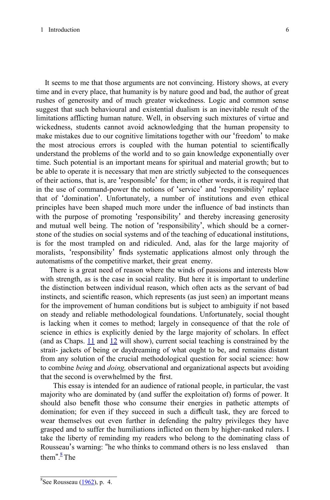It seems to me that those arguments are not convincing. History shows, at every time and in every place, that humanity is by nature good and bad, the author of great rushes of generosity and of much greater wickedness. Logic and common sense suggest that such behavioural and existential dualism is an inevitable result of the limitations afflicting human nature. Well, in observing such mixtures of virtue and wickedness, students cannot avoid acknowledging that the human propensity to make mistakes due to our cognitive limitations together with our 'freedom' to make the most atrocious errors is coupled with the human potential to scientifically understand the problems of the world and to so gain knowledge exponentially over time. Such potential is an important means for spiritual and material growth; but to be able to operate it is necessary that men are strictly subjected to the consequences of their actions, that is, are 'responsible' for them; in other words, it is required that in the use of command-power the notions of 'service' and 'responsibility' replace that of 'domination'. Unfortunately, a number of institutions and even ethical principles have been shaped much more under the influence of bad instincts than with the purpose of promoting 'responsibility' and thereby increasing generosity and mutual well being. The notion of 'responsibility', which should be a cornerstone of the studies on social systems and of the teaching of educational institutions, is for the most trampled on and ridiculed. And, alas for the large majority of moralists, 'responsibility' finds systematic applications almost only through the automatisms of the competitive market, their great enemy.

There is a great need of reason where the winds of passions and interests blow with strength, as is the case in social reality. But here it is important to underline the distinction between individual reason, which often acts as the servant of bad instincts, and scientific reason, which represents (as just seen) an important means for the improvement of human conditions but is subject to ambiguity if not based on steady and reliable methodological foundations. Unfortunately, social thought is lacking when it comes to method; largely in consequence of that the role of science in ethics is explicitly denied by the large majority of scholars. In effect (and as Chaps.  $11$  and  $12$  will show), current social teaching is constrained by the strait- jackets of being or daydreaming of what ought to be, and remains distant from any solution of the crucial methodological question for social science: how to combine *being* and *doing,* observational and organizational aspects but avoiding that the second is overwhelmed by the first.

 This essay is intended for an audience of rational people, in particular, the vast majority who are dominated by (and suffer the exploitation of) forms of power. It should also benefit those who consume their energies in pathetic attempts of domination; for even if they succeed in such a difficult task, they are forced to wear themselves out even further in defending the paltry privileges they have grasped and to suffer the humiliations inflicted on them by higher-ranked rulers. I take the liberty of reminding my readers who belong to the dominating class of Rousseau's warning: "he who thinks to command others is no less enslaved than them".<sup>8</sup> The

<sup>&</sup>lt;sup>8</sup>See Rousseau (1962), p. 4.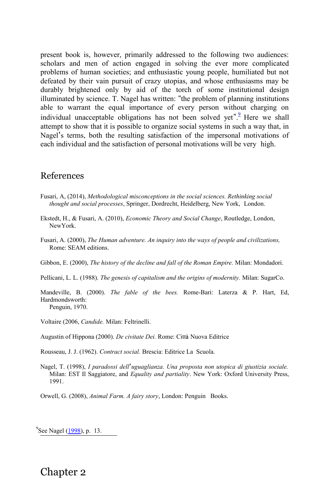present book is, however, primarily addressed to the following two audiences: scholars and men of action engaged in solving the ever more complicated problems of human societies; and enthusiastic young people, humiliated but not defeated by their vain pursuit of crazy utopias, and whose enthusiasms may be durably brightened only by aid of the torch of some institutional design illuminated by science. T. Nagel has written: "the problem of planning institutions able to warrant the equal importance of every person without charging on individual unacceptable obligations has not been solved yet".<sup>2</sup> Here we shall attempt to show that it is possible to organize social systems in such a way that, in Nagel's terms, both the resulting satisfaction of the impersonal motivations of each individual and the satisfaction of personal motivations will be very high.

#### References

- Fusari, A, (2014), *Methodological misconceptions in the social sciences. Rethinking social thought and social processes*, Springer, Dordrecht, Heidelberg, New York, London.
- Ekstedt, H., & Fusari, A. (2010), *Economic Theory and Social Change*, Routledge, London, NewYork.
- Fusari, A. (2000), *The Human adventure. An inquiry into the ways of people and civilizations,* Rome: SEAM editions.

Gibbon, E. (2000), *The history of the decline and fall of the Roman Empire.* Milan: Mondadori.

Pellicani, L. L. (1988). *The genesis of capitalism and the origins of modernity.* Milan: SugarCo.

Mandeville, B. (2000). *The fable of the bees.* Rome-Bari: Laterza & P. Hart, Ed, Hardmondsworth: Penguin, 1970.

Voltaire (2006, *Candide.* Milan: Feltrinelli.

Augustin of Hippona (2000). *De civitate Dei.* Rome: Città Nuova Editrice

Rousseau, J. J. (1962). *Contract social.* Brescia: Editrice La Scuola.

Nagel, T. (1998), *I paradossi dell*'*uguaglianza. Una proposta non utopica di giustizia sociale.*  Milan: EST Il Saggiatore, and *Equality and partiality*. New York: Oxford University Press, 1991.

Orwell, G. (2008), *Animal Farm. A fairy story*, London: Penguin Books.

<sup>9</sup>See Nagel (1998), p. 13.

Chapter 2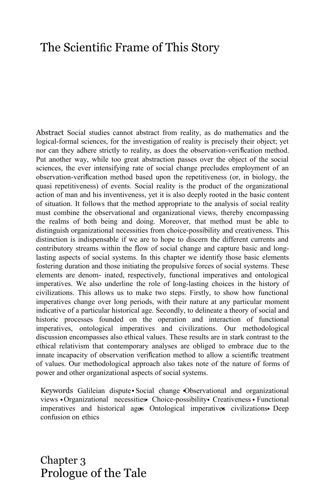#### The Scientific Frame of This Story

Abstract Social studies cannot abstract from reality, as do mathematics and the logical-formal sciences, for the investigation of reality is precisely their object; yet nor can they adhere strictly to reality, as does the observation-verification method. Put another way, while too great abstraction passes over the object of the social sciences, the ever intensifying rate of social change precludes employment of an observation-verification method based upon the repetitiveness (or, in biology, the quasi repetitiveness) of events. Social reality is the product of the organizational action of man and his inventiveness, yet it is also deeply rooted in the basic content of situation. It follows that the method appropriate to the analysis of social reality must combine the observational and organizational views, thereby encompassing the realms of both being and doing. Moreover, that method must be able to distinguish organizational necessities from choice-possibility and creativeness. This distinction is indispensable if we are to hope to discern the different currents and contributory streams within the flow of social change and capture basic and longlasting aspects of social systems. In this chapter we identify those basic elements fostering duration and those initiating the propulsive forces of social systems. These elements are denom- inated, respectively, functional imperatives and ontological imperatives. We also underline the role of long-lasting choices in the history of civilizations. This allows us to make two steps. Firstly, to show how functional imperatives change over long periods, with their nature at any particular moment indicative of a particular historical age. Secondly, to delineate a theory of social and historic processes founded on the operation and interaction of functional imperatives, ontological imperatives and civilizations. Our methodological discussion encompasses also ethical values. These results are in stark contrast to the ethical relativism that contemporary analyses are obliged to embrace due to the innate incapacity of observation verification method to allow a scientific treatment of values. Our methodological approach also takes note of the nature of forms of power and other organizational aspects of social systems.

**· · ·** imperatives and historical ages Ontological imperatives civilizations Deep views • Organizational necessities Choice-possibility • Creativeness • Functional **· ·** Keywords Galileian dispute Social change Observational and organizational confusion on ethics

Chapter 3 Prologue of the Tale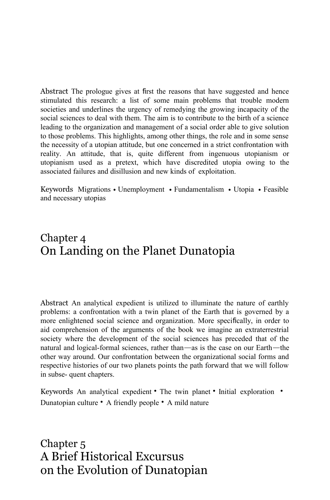Abstract The prologue gives at first the reasons that have suggested and hence stimulated this research: a list of some main problems that trouble modern societies and underlines the urgency of remedying the growing incapacity of the social sciences to deal with them. The aim is to contribute to the birth of a science leading to the organization and management of a social order able to give solution to those problems. This highlights, among other things, the role and in some sense the necessity of a utopian attitude, but one concerned in a strict confrontation with reality. An attitude, that is, quite different from ingenuous utopianism or utopianism used as a pretext, which have discredited utopia owing to the associated failures and disillusion and new kinds of exploitation.

Keywords Migrations · Unemployment · Fundamentalism · Utopia · Feasible and necessary utopias

#### Chapter 4 On Landing on the Planet Dunatopia

Abstract An analytical expedient is utilized to illuminate the nature of earthly problems: a confrontation with a twin planet of the Earth that is governed by a more enlightened social science and organization. More specifically, in order to aid comprehension of the arguments of the book we imagine an extraterrestrial society where the development of the social sciences has preceded that of the natural and logical-formal sciences, rather than—as is the case on our Earth—the other way around. Our confrontation between the organizational social forms and respective histories of our two planets points the path forward that we will follow in subse- quent chapters.

Keywords An analytical expedient **·** The twin planet **·** Initial exploration **·** Dunatopian culture **·** A friendly people **·** A mild nature

Chapter 5 A Brief Historical Excursus on the Evolution of Dunatopian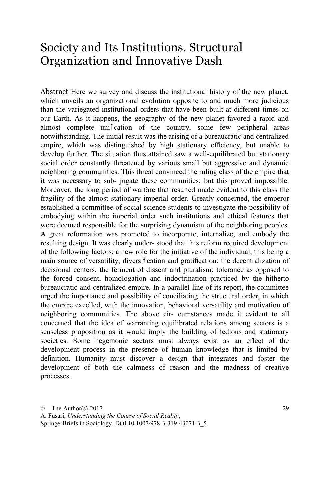#### Society and Its Institutions. Structural Organization and Innovative Dash

Abstract Here we survey and discuss the institutional history of the new planet, which unveils an organizational evolution opposite to and much more judicious than the variegated institutional orders that have been built at different times on our Earth. As it happens, the geography of the new planet favored a rapid and almost complete unification of the country, some few peripheral areas notwithstanding. The initial result was the arising of a bureaucratic and centralized empire, which was distinguished by high stationary efficiency, but unable to develop further. The situation thus attained saw a well-equilibrated but stationary social order constantly threatened by various small but aggressive and dynamic neighboring communities. This threat convinced the ruling class of the empire that it was necessary to sub- jugate these communities; but this proved impossible. Moreover, the long period of warfare that resulted made evident to this class the fragility of the almost stationary imperial order. Greatly concerned, the emperor established a committee of social science students to investigate the possibility of embodying within the imperial order such institutions and ethical features that were deemed responsible for the surprising dynamism of the neighboring peoples. A great reformation was promoted to incorporate, internalize, and embody the resulting design. It was clearly under- stood that this reform required development of the following factors: a new role for the initiative of the individual, this being a main source of versatility, diversification and gratification; the decentralization of decisional centers; the ferment of dissent and pluralism; tolerance as opposed to the forced consent, homologation and indoctrination practiced by the hitherto bureaucratic and centralized empire. In a parallel line of its report, the committee urged the importance and possibility of conciliating the structural order, in which the empire excelled, with the innovation, behavioral versatility and motivation of neighboring communities. The above cir- cumstances made it evident to all concerned that the idea of warranting equilibrated relations among sectors is a senseless proposition as it would imply the building of tedious and stationary societies. Some hegemonic sectors must always exist as an effect of the development process in the presence of human knowledge that is limited by definition. Humanity must discover a design that integrates and foster the development of both the calmness of reason and the madness of creative processes.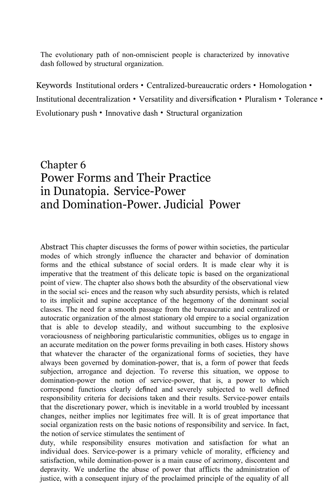The evolutionary path of non-omniscient people is characterized by innovative dash followed by structural organization.

Keywords Institutional orders **·** Centralized-bureaucratic orders **·** Homologation **·**  Institutional decentralization **·** Versatility and diversification **·** Pluralism **·** Tolerance **·**  Evolutionary push **·** Innovative dash **·** Structural organization

### Chapter 6 Power Forms and Their Practice in Dunatopia. Service-Power and Domination-Power. Judicial Power

Abstract This chapter discusses the forms of power within societies, the particular modes of which strongly influence the character and behavior of domination forms and the ethical substance of social orders. It is made clear why it is imperative that the treatment of this delicate topic is based on the organizational point of view. The chapter also shows both the absurdity of the observational view in the social sci- ences and the reason why such absurdity persists, which is related to its implicit and supine acceptance of the hegemony of the dominant social classes. The need for a smooth passage from the bureaucratic and centralized or autocratic organization of the almost stationary old empire to a social organization that is able to develop steadily, and without succumbing to the explosive voraciousness of neighboring particularistic communities, obliges us to engage in an accurate meditation on the power forms prevailing in both cases. History shows that whatever the character of the organizational forms of societies, they have always been governed by domination-power, that is, a form of power that feeds subjection, arrogance and dejection. To reverse this situation, we oppose to domination-power the notion of service-power, that is, a power to which correspond functions clearly defined and severely subjected to well defined responsibility criteria for decisions taken and their results. Service-power entails that the discretionary power, which is inevitable in a world troubled by incessant changes, neither implies nor legitimates free will. It is of great importance that social organization rests on the basic notions of responsibility and service. In fact, the notion of service stimulates the sentiment of

duty, while responsibility ensures motivation and satisfaction for what an individual does. Service-power is a primary vehicle of morality, efficiency and satisfaction, while domination-power is a main cause of acrimony, discontent and depravity. We underline the abuse of power that afflicts the administration of justice, with a consequent injury of the proclaimed principle of the equality of all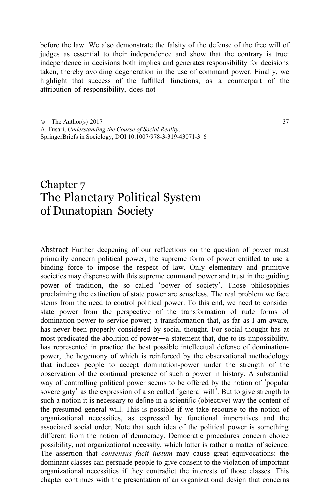before the law. We also demonstrate the falsity of the defense of the free will of judges as essential to their independence and show that the contrary is true: independence in decisions both implies and generates responsibility for decisions taken, thereby avoiding degeneration in the use of command power. Finally, we highlight that success of the fulfilled functions, as a counterpart of the attribution of responsibility, does not

 $\circ$  The Author(s) 2017 37 A. Fusari, *Understanding the Course of Social Reality*, SpringerBriefs in Sociology, DOI 10.1007/978-3-319-43071-3\_6

### Chapter 7 The Planetary Political System of Dunatopian Society

Abstract Further deepening of our reflections on the question of power must primarily concern political power, the supreme form of power entitled to use a binding force to impose the respect of law. Only elementary and primitive societies may dispense with this supreme command power and trust in the guiding power of tradition, the so called 'power of society'. Those philosophies proclaiming the extinction of state power are senseless. The real problem we face stems from the need to control political power. To this end, we need to consider state power from the perspective of the transformation of rude forms of domination-power to service-power; a transformation that, as far as I am aware, has never been properly considered by social thought. For social thought has at most predicated the abolition of power—a statement that, due to its impossibility, has represented in practice the best possible intellectual defense of dominationpower, the hegemony of which is reinforced by the observational methodology that induces people to accept domination-power under the strength of the observation of the continual presence of such a power in history. A substantial way of controlling political power seems to be offered by the notion of 'popular sovereignty' as the expression of a so called 'general will'. But to give strength to such a notion it is necessary to define in a scientific (objective) way the content of the presumed general will. This is possible if we take recourse to the notion of organizational necessities, as expressed by functional imperatives and the associated social order. Note that such idea of the political power is something different from the notion of democracy. Democratic procedures concern choice possibility, not organizational necessity, which latter is rather a matter of science. The assertion that *consensus facit iustum* may cause great equivocations: the dominant classes can persuade people to give consent to the violation of important organizational necessities if they contradict the interests of those classes. This chapter continues with the presentation of an organizational design that concerns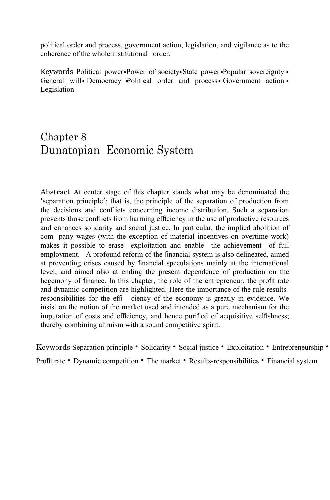political order and process, government action, legislation, and vigilance as to the coherence of the whole institutional order.

**Contract Democracy Political order and process Government action Keywords Political power Power of society State power Popular sovereignty .** Legislation

### Chapter 8 Dunatopian Economic System

Abstract At center stage of this chapter stands what may be denominated the 'separation principle'; that is, the principle of the separation of production from the decisions and conflicts concerning income distribution. Such a separation prevents those conflicts from harming efficiency in the use of productive resources and enhances solidarity and social justice. In particular, the implied abolition of com- pany wages (with the exception of material incentives on overtime work) makes it possible to erase exploitation and enable the achievement of full employment. A profound reform of the financial system is also delineated, aimed at preventing crises caused by financial speculations mainly at the international level, and aimed also at ending the present dependence of production on the hegemony of finance. In this chapter, the role of the entrepreneur, the profit rate and dynamic competition are highlighted. Here the importance of the rule resultsresponsibilities for the effi- ciency of the economy is greatly in evidence. We insist on the notion of the market used and intended as a pure mechanism for the imputation of costs and efficiency, and hence purified of acquisitive selfishness; thereby combining altruism with a sound competitive spirit.

Keywords Separation principle **·** Solidarity **·** Social justice **·** Exploitation **·** Entrepreneurship **·**  Profit rate **·** Dynamic competition **·** The market **·** Results-responsibilities **·** Financial system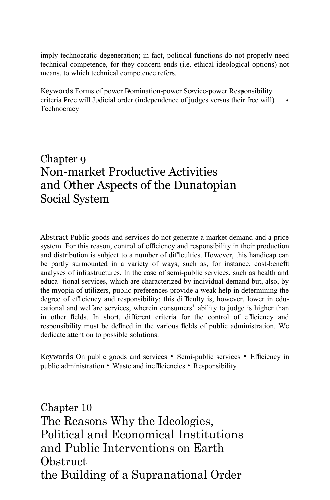imply technocratic degeneration; in fact, political functions do not properly need technical competence, for they concern ends (i.e. ethical-ideological options) not means, to which technical competence refers.

**•• Criteria Free will Judicial order (independence of judges versus their free will) · · ·** Keywords Forms of power Domination-power Service-power Responsibility **Technocracy** 

### Chapter 9 Non-market Productive Activities and Other Aspects of the Dunatopian Social System

Abstract Public goods and services do not generate a market demand and a price system. For this reason, control of efficiency and responsibility in their production and distribution is subject to a number of difficulties. However, this handicap can be partly surmounted in a variety of ways, such as, for instance, cost-benefit analyses of infrastructures. In the case of semi-public services, such as health and educa- tional services, which are characterized by individual demand but, also, by the myopia of utilizers, public preferences provide a weak help in determining the degree of efficiency and responsibility; this difficulty is, however, lower in educational and welfare services, wherein consumers' ability to judge is higher than in other fields. In short, different criteria for the control of efficiency and responsibility must be defined in the various fields of public administration. We dedicate attention to possible solutions.

Keywords On public goods and services **·** Semi-public services **·** Efficiency in public administration **·** Waste and inefficiencies **·** Responsibility

Chapter 10 The Reasons Why the Ideologies, Political and Economical Institutions and Public Interventions on Earth Obstruct the Building of a Supranational Order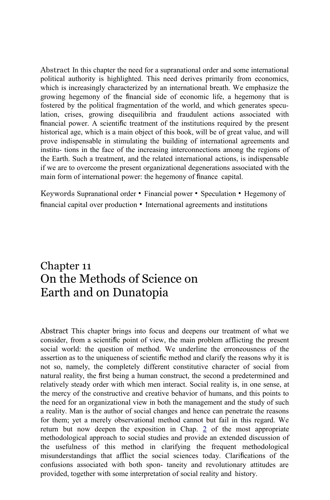Abstract In this chapter the need for a supranational order and some international political authority is highlighted. This need derives primarily from economics, which is increasingly characterized by an international breath. We emphasize the growing hegemony of the financial side of economic life, a hegemony that is fostered by the political fragmentation of the world, and which generates speculation, crises, growing disequilibria and fraudulent actions associated with financial power. A scientific treatment of the institutions required by the present historical age, which is a main object of this book, will be of great value, and will prove indispensable in stimulating the building of international agreements and institu- tions in the face of the increasing interconnections among the regions of the Earth. Such a treatment, and the related international actions, is indispensable if we are to overcome the present organizational degenerations associated with the main form of international power: the hegemony of finance capital.

Keywords Supranational order **·** Financial power **·** Speculation **·** Hegemony of financial capital over production **·** International agreements and institutions

### Chapter 11 On the Methods of Science on Earth and on Dunatopia

Abstract This chapter brings into focus and deepens our treatment of what we consider, from a scientific point of view, the main problem afflicting the present social world: the question of method. We underline the erroneousness of the assertion as to the uniqueness of scientific method and clarify the reasons why it is not so, namely, the completely different constitutive character of social from natural reality, the first being a human construct, the second a predetermined and relatively steady order with which men interact. Social reality is, in one sense, at the mercy of the constructive and creative behavior of humans, and this points to the need for an organizational view in both the management and the study of such a reality. Man is the author of social changes and hence can penetrate the reasons for them; yet a merely observational method cannot but fail in this regard. We return but now deepen the exposition in Chap. 2 of the most appropriate methodological approach to social studies and provide an extended discussion of the usefulness of this method in clarifying the frequent methodological misunderstandings that afflict the social sciences today. Clarifications of the confusions associated with both spon- taneity and revolutionary attitudes are provided, together with some interpretation of social reality and history.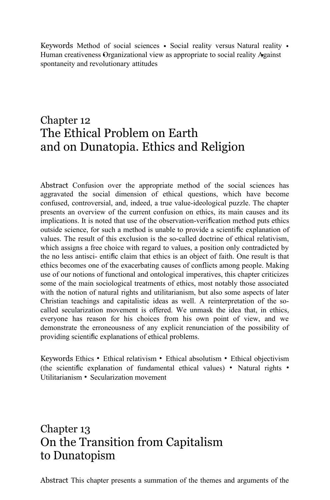**· ·** Human creativeness Organizational view as appropriate to social reality Against Keywords Method of social sciences • Social reality versus Natural reality • spontaneity and revolutionary attitudes

#### Chapter 12 The Ethical Problem on Earth and on Dunatopia. Ethics and Religion

Abstract Confusion over the appropriate method of the social sciences has aggravated the social dimension of ethical questions, which have become confused, controversial, and, indeed, a true value-ideological puzzle. The chapter presents an overview of the current confusion on ethics, its main causes and its implications. It is noted that use of the observation-verification method puts ethics outside science, for such a method is unable to provide a scientific explanation of values. The result of this exclusion is the so-called doctrine of ethical relativism, which assigns a free choice with regard to values, a position only contradicted by the no less antisci- entific claim that ethics is an object of faith. One result is that ethics becomes one of the exacerbating causes of conflicts among people. Making use of our notions of functional and ontological imperatives, this chapter criticizes some of the main sociological treatments of ethics, most notably those associated with the notion of natural rights and utilitarianism, but also some aspects of later Christian teachings and capitalistic ideas as well. A reinterpretation of the socalled secularization movement is offered. We unmask the idea that, in ethics, everyone has reason for his choices from his own point of view, and we demonstrate the erroneousness of any explicit renunciation of the possibility of providing scientific explanations of ethical problems.

Keywords Ethics **·** Ethical relativism **·** Ethical absolutism **·** Ethical objectivism (the scientific explanation of fundamental ethical values) **·** Natural rights **·**  Utilitarianism **·** Secularization movement

Chapter 13 On the Transition from Capitalism to Dunatopism

Abstract This chapter presents a summation of the themes and arguments of the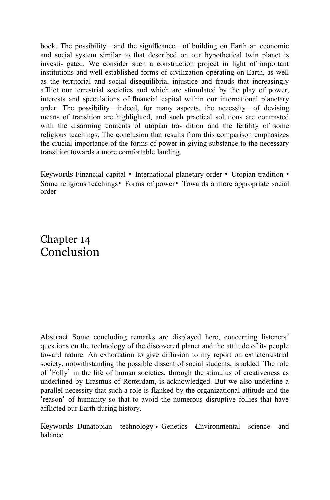book. The possibility—and the significance—of building on Earth an economic and social system similar to that described on our hypothetical twin planet is investi- gated. We consider such a construction project in light of important institutions and well established forms of civilization operating on Earth, as well as the territorial and social disequilibria, injustice and frauds that increasingly afflict our terrestrial societies and which are stimulated by the play of power, interests and speculations of financial capital within our international planetary order. The possibility—indeed, for many aspects, the necessity—of devising means of transition are highlighted, and such practical solutions are contrasted with the disarming contents of utopian tra- dition and the fertility of some religious teachings. The conclusion that results from this comparison emphasizes the crucial importance of the forms of power in giving substance to the necessary transition towards a more comfortable landing.

Keywords Financial capital **·** International planetary order **·** Utopian tradition **·**  Some religious teachings**·** Forms of power**·** Towards a more appropriate social order

#### Chapter 14 **Conclusion**

Abstract Some concluding remarks are displayed here, concerning listeners' questions on the technology of the discovered planet and the attitude of its people toward nature. An exhortation to give diffusion to my report on extraterrestrial society, notwithstanding the possible dissent of social students, is added. The role of 'Folly' in the life of human societies, through the stimulus of creativeness as underlined by Erasmus of Rotterdam, is acknowledged. But we also underline a parallel necessity that such a role is flanked by the organizational attitude and the 'reason' of humanity so that to avoid the numerous disruptive follies that have afflicted our Earth during history.

**Keywords Dunatopian technology · Genetics Environmental science and** balance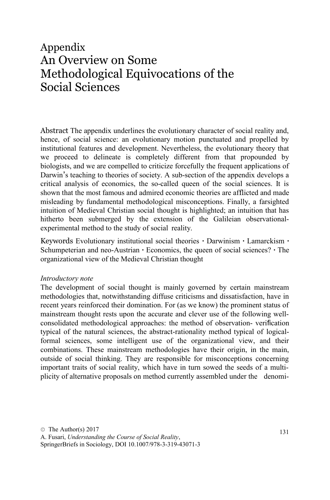### Appendix An Overview on Some Methodological Equivocations of the Social Sciences

Abstract The appendix underlines the evolutionary character of social reality and, hence, of social science: an evolutionary motion punctuated and propelled by institutional features and development. Nevertheless, the evolutionary theory that we proceed to delineate is completely different from that propounded by biologists, and we are compelled to criticize forcefully the frequent applications of Darwin's teaching to theories of society. A sub-section of the appendix develops a critical analysis of economics, the so-called queen of the social sciences. It is shown that the most famous and admired economic theories are afflicted and made misleading by fundamental methodological misconceptions. Finally, a farsighted intuition of Medieval Christian social thought is highlighted; an intuition that has hitherto been submerged by the extension of the Galileian observationalexperimental method to the study of social reality.

Keywords Evolutionary institutional social theories **·** Darwinism **·** Lamarckism **·**  Schumpeterian and neo-Austrian **·** Economics, the queen of social sciences? **·** The organizational view of the Medieval Christian thought

#### *Introductory note*

The development of social thought is mainly governed by certain mainstream methodologies that, notwithstanding diffuse criticisms and dissatisfaction, have in recent years reinforced their domination. For (as we know) the prominent status of mainstream thought rests upon the accurate and clever use of the following wellconsolidated methodological approaches: the method of observation- verification typical of the natural sciences, the abstract-rationality method typical of logicalformal sciences, some intelligent use of the organizational view, and their combinations. These mainstream methodologies have their origin, in the main, outside of social thinking. They are responsible for misconceptions concerning important traits of social reality, which have in turn sowed the seeds of a multiplicity of alternative proposals on method currently assembled under the denomi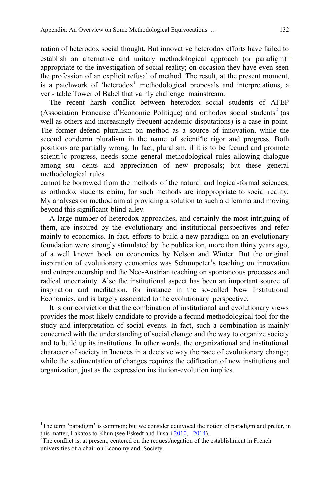nation of heterodox social thought. But innovative heterodox efforts have failed to establish an alternative and unitary methodological approach (or paradigm) $\perp$ appropriate to the investigation of social reality; on occasion they have even seen the profession of an explicit refusal of method. The result, at the present moment, is a patchwork of 'heterodox' methodological proposals and interpretations, a veri- table Tower of Babel that vainly challenge mainstream.

The recent harsh conflict between heterodox social students of AFEP (Association Francaise d'Economie Politique) and orthodox social students<sup>2</sup> (as well as others and increasingly frequent academic disputations) is a case in point. The former defend pluralism on method as a source of innovation, while the second condemn pluralism in the name of scientific rigor and progress. Both positions are partially wrong. In fact, pluralism, if it is to be fecund and promote scientific progress, needs some general methodological rules allowing dialogue among stu- dents and appreciation of new proposals; but these general methodological rules

cannot be borrowed from the methods of the natural and logical-formal sciences, as orthodox students claim, for such methods are inappropriate to social reality. My analyses on method aim at providing a solution to such a dilemma and moving beyond this significant blind-alley.

A large number of heterodox approaches, and certainly the most intriguing of them, are inspired by the evolutionary and institutional perspectives and refer mainly to economics. In fact, efforts to build a new paradigm on an evolutionary foundation were strongly stimulated by the publication, more than thirty years ago, of a well known book on economics by Nelson and Winter. But the original inspiration of evolutionary economics was Schumpeter's teaching on innovation and entrepreneurship and the Neo-Austrian teaching on spontaneous processes and radical uncertainty. Also the institutional aspect has been an important source of inspiration and meditation, for instance in the so-called New Institutional Economics, and is largely associated to the evolutionary perspective.

It is our conviction that the combination of institutional and evolutionary views provides the most likely candidate to provide a fecund methodological tool for the study and interpretation of social events. In fact, such a combination is mainly concerned with the understanding of social change and the way to organize society and to build up its institutions. In other words, the organizational and institutional character of society influences in a decisive way the pace of evolutionary change; while the sedimentation of changes requires the edification of new institutions and organization, just as the expression institution-evolution implies.

<sup>&</sup>lt;sup>1</sup>The term 'paradigm' is common; but we consider equivocal the notion of paradigm and prefer, in this matter, Lakatos to Khun (see Eskedt and Fusari 2010, 2014).

<sup>&</sup>lt;sup>2</sup>The conflict is, at present, centered on the request/negation of the establishment in French universities of a chair on Economy and Society.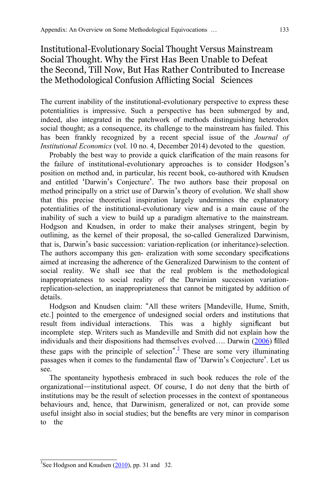#### Institutional-Evolutionary Social Thought Versus Mainstream Social Thought. Why the First Has Been Unable to Defeat the Second, Till Now, But Has Rather Contributed to Increase the Methodological Confusion Afflicting Social Sciences

The current inability of the institutional-evolutionary perspective to express these potentialities is impressive. Such a perspective has been submerged by and, indeed, also integrated in the patchwork of methods distinguishing heterodox social thought; as a consequence, its challenge to the mainstream has failed. This has been frankly recognized by a recent special issue of the *Journal of Institutional Economics* (vol. 10 no. 4, December 2014) devoted to the question.

Probably the best way to provide a quick clarification of the main reasons for the failure of institutional-evolutionary approaches is to consider Hodgson's position on method and, in particular, his recent book, co-authored with Knudsen and entitled 'Darwin's Conjecture'. The two authors base their proposal on method principally on a strict use of Darwin's theory of evolution. We shall show that this precise theoretical inspiration largely undermines the explanatory potentialities of the institutional-evolutionary view and is a main cause of the inability of such a view to build up a paradigm alternative to the mainstream. Hodgson and Knudsen, in order to make their analyses stringent, begin by outlining, as the kernel of their proposal, the so-called Generalized Darwinism, that is, Darwin's basic succession: variation-replication (or inheritance)-selection. The authors accompany this gen- eralization with some secondary specifications aimed at increasing the adherence of the Generalized Darwinism to the content of social reality. We shall see that the real problem is the methodological inappropriateness to social reality of the Darwinian succession variationreplication-selection, an inappropriateness that cannot be mitigated by addition of details.

Hodgson and Knudsen claim: "All these writers [Mandeville, Hume, Smith, etc.] pointed to the emergence of undesigned social orders and institutions that result from individual interactions. This was a highly significant but incomplete step. Writers such as Mandeville and Smith did not explain how the individuals and their dispositions had themselves evolved…. Darwin (2006) filled these gaps with the principle of selection". 3 These are some very illuminating passages when it comes to the fundamental flaw of 'Darwin's Conjecture'. Let us see.

The spontaneity hypothesis embraced in such book reduces the role of the organizational—institutional aspect. Of course, I do not deny that the birth of institutions may be the result of selection processes in the context of spontaneous behaviours and, hence, that Darwinism, generalized or not, can provide some useful insight also in social studies; but the benefits are very minor in comparison to the

 $3$ See Hodgson and Knudsen  $(2010)$ , pp. 31 and 32.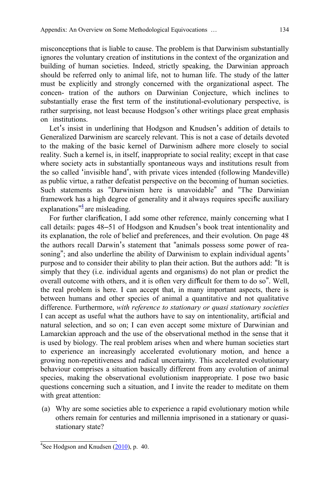misconceptions that is liable to cause. The problem is that Darwinism substantially ignores the voluntary creation of institutions in the context of the organization and building of human societies. Indeed, strictly speaking, the Darwinian approach should be referred only to animal life, not to human life. The study of the latter must be explicitly and strongly concerned with the organizational aspect. The concen- tration of the authors on Darwinian Conjecture, which inclines to substantially erase the first term of the institutional-evolutionary perspective, is rather surprising, not least because Hodgson's other writings place great emphasis on institutions.

Let's insist in underlining that Hodgson and Knudsen's addition of details to Generalized Darwinism are scarcely relevant. This is not a case of details devoted to the making of the basic kernel of Darwinism adhere more closely to social reality. Such a kernel is, in itself, inappropriate to social reality; except in that case where society acts in substantially spontaneous ways and institutions result from the so called 'invisible hand', with private vices intended (following Mandeville) as public virtue, a rather defeatist perspective on the becoming of human societies. Such statements as "Darwinism here is unavoidable" and "The Darwinian framework has a high degree of generality and it always requires specific auxiliary explanations"<sup>4</sup> are misleading.

For further clarification, I add some other reference, mainly concerning what I call details: pages 48–51 of Hodgson and Knudsen's book treat intentionality and its explanation, the role of belief and preferences, and their evolution. On page 48 the authors recall Darwin's statement that "animals possess some power of reasoning"; and also underline the ability of Darwinism to explain individual agents' purpose and to consider their ability to plan their action. But the authors add: "It is simply that they (i.e. individual agents and organisms) do not plan or predict the overall outcome with others, and it is often very difficult for them to do so". Well, the real problem is here. I can accept that, in many important aspects, there is between humans and other species of animal a quantitative and not qualitative difference. Furthermore, *with reference to stationary or quasi stationary societies*  I can accept as useful what the authors have to say on intentionality, artificial and natural selection, and so on; I can even accept some mixture of Darwinian and Lamarckian approach and the use of the observational method in the sense that it is used by biology. The real problem arises when and where human societies start to experience an increasingly accelerated evolutionary motion, and hence a growing non-repetitiveness and radical uncertainty. This accelerated evolutionary behaviour comprises a situation basically different from any evolution of animal species, making the observational evolutionism inappropriate. I pose two basic questions concerning such a situation, and I invite the reader to meditate on them with great attention:

(a) Why are some societies able to experience a rapid evolutionary motion while others remain for centuries and millennia imprisoned in a stationary or quasistationary state?

 $4$ See Hodgson and Knudsen  $(2010)$ , p. 40.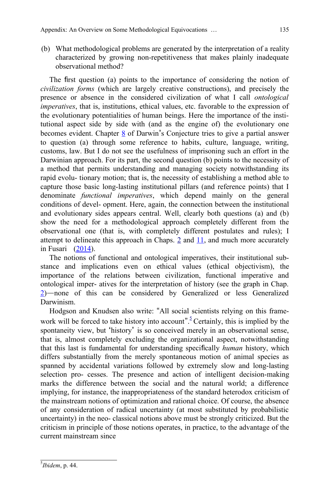(b) What methodological problems are generated by the interpretation of a reality characterized by growing non-repetitiveness that makes plainly inadequate observational method?

The first question (a) points to the importance of considering the notion of *civilization forms* (which are largely creative constructions), and precisely the presence or absence in the considered civilization of what I call *ontological imperatives*, that is, institutions, ethical values, etc. favorable to the expression of the evolutionary potentialities of human beings. Here the importance of the institutional aspect side by side with (and as the engine of) the evolutionary one becomes evident. Chapter  $\underline{8}$  of Darwin's Conjecture tries to give a partial answer to question (a) through some reference to habits, culture, language, writing, customs, law. But I do not see the usefulness of imprisoning such an effort in the Darwinian approach. For its part, the second question (b) points to the necessity of a method that permits understanding and managing society notwithstanding its rapid evolu- tionary motion; that is, the necessity of establishing a method able to capture those basic long-lasting institutional pillars (and reference points) that I denominate *functional imperatives*, which depend mainly on the general conditions of devel- opment. Here, again, the connection between the institutional and evolutionary sides appears central. Well, clearly both questions (a) and (b) show the need for a methodological approach completely different from the observational one (that is, with completely different postulates and rules); I attempt to delineate this approach in Chaps.  $\frac{2}{1}$  and  $\frac{11}{1}$ , and much more accurately in Fusari (2014).

The notions of functional and ontological imperatives, their institutional substance and implications even on ethical values (ethical objectivism), the importance of the relations between civilization, functional imperative and ontological imper- atives for the interpretation of history (see the graph in Chap. 2)—none of this can be considered by Generalized or less Generalized Darwinism.

Hodgson and Knudsen also write: "All social scientists relying on this framework will be forced to take history into account".<sup>5</sup> Certainly, this is implied by the spontaneity view, but 'history' is so conceived merely in an observational sense, that is, almost completely excluding the organizational aspect, notwithstanding that this last is fundamental for understanding specifically *human* history, which differs substantially from the merely spontaneous motion of animal species as spanned by accidental variations followed by extremely slow and long-lasting selection pro- cesses. The presence and action of intelligent decision-making marks the difference between the social and the natural world; a difference implying, for instance, the inappropriateness of the standard heterodox criticism of the mainstream notions of optimization and rational choice. Of course, the absence of any consideration of radical uncertainty (at most substituted by probabilistic uncertainty) in the neo- classical notions above must be strongly criticized. But the criticism in principle of those notions operates, in practice, to the advantage of the current mainstream since

<sup>5</sup> *Ibidem*, p. 44.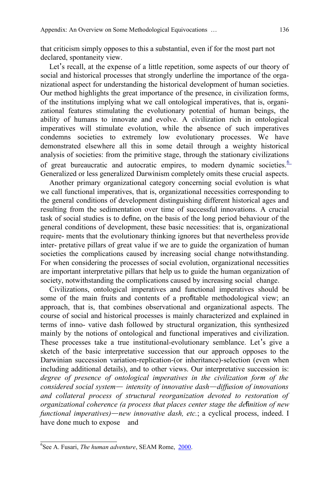that criticism simply opposes to this a substantial, even if for the most part not declared, spontaneity view.

Let's recall, at the expense of a little repetition, some aspects of our theory of social and historical processes that strongly underline the importance of the organizational aspect for understanding the historical development of human societies. Our method highlights the great importance of the presence, in civilization forms, of the institutions implying what we call ontological imperatives, that is, organizational features stimulating the evolutionary potential of human beings, the ability of humans to innovate and evolve. A civilization rich in ontological imperatives will stimulate evolution, while the absence of such imperatives condemns societies to extremely low evolutionary processes. We have demonstrated elsewhere all this in some detail through a weighty historical analysis of societies: from the primitive stage, through the stationary civilizations of great bureaucratic and autocratic empires, to modern dynamic societies.  $\frac{6}{5}$ Generalized or less generalized Darwinism completely omits these crucial aspects.

Another primary organizational category concerning social evolution is what we call functional imperatives, that is, organizational necessities corresponding to the general conditions of development distinguishing different historical ages and resulting from the sedimentation over time of successful innovations. A crucial task of social studies is to define, on the basis of the long period behaviour of the general conditions of development, these basic necessities: that is, organizational require- ments that the evolutionary thinking ignores but that nevertheless provide inter- pretative pillars of great value if we are to guide the organization of human societies the complications caused by increasing social change notwithstanding. For when considering the processes of social evolution, organizational necessities are important interpretative pillars that help us to guide the human organization of society, notwithstanding the complications caused by increasing social change.

Civilizations, ontological imperatives and functional imperatives should be some of the main fruits and contents of a profitable methodological view; an approach, that is, that combines observational and organizational aspects. The course of social and historical processes is mainly characterized and explained in terms of inno- vative dash followed by structural organization, this synthesized mainly by the notions of ontological and functional imperatives and civilization. These processes take a true institutional-evolutionary semblance. Let's give a sketch of the basic interpretative succession that our approach opposes to the Darwinian succession variation-replication-(or inheritance)-selection (even when including additional details), and to other views. Our interpretative succession is: *degree of presence of ontological imperatives in the civilization form of the considered social system*— *intensity of innovative dash*—*diffusion of innovations and collateral process of structural reorganization devoted to restoration of organizational coherence (a process that places center stage the de*fi*nition of new functional imperatives)*—*new innovative dash, etc.*; a cyclical process, indeed. I have done much to expose and

<sup>6</sup> See A. Fusari, *The human adventure*, SEAM Rome, 2000.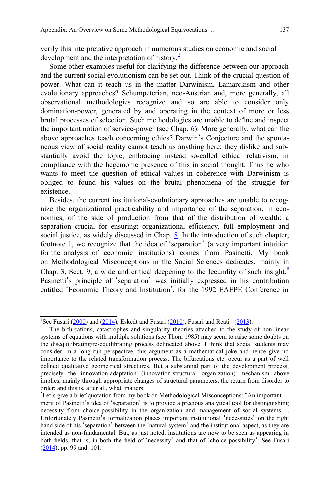verify this interpretative approach in numerous studies on economic and social development and the interpretation of history. $^1$ 

Some other examples useful for clarifying the difference between our approach and the current social evolutionism can be set out. Think of the crucial question of power. What can it teach us in the matter Darwinism, Lamarckism and other evolutionary approaches? Schumpeterian, neo-Austrian and, more generally, all observational methodologies recognize and so are able to consider only domination-power, generated by and operating in the context of more or less brutal processes of selection. Such methodologies are unable to define and inspect the important notion of service-power (see Chap.  $6$ ). More generally, what can the above approaches teach concerning ethics? Darwin's Conjecture and the spontaneous view of social reality cannot teach us anything here; they dislike and substantially avoid the topic, embracing instead so-called ethical relativism, in compliance with the hegemonic presence of this in social thought. Thus he who wants to meet the question of ethical values in coherence with Darwinism is obliged to found his values on the brutal phenomena of the struggle for existence.

Besides, the current institutional-evolutionary approaches are unable to recognize the organizational practicability and importance of the separation, in economics, of the side of production from that of the distribution of wealth; a separation crucial for ensuring: organizational efficiency, full employment and social justice, as widely discussed in Chap. 8. In the introduction of such chapter, footnote 1, we recognize that the idea of 'separation' (a very important intuition for the analysis of economic institutions) comes from Pasinetti. My book on Methodological Misconceptions in the Social Sciences dedicates, mainly in Chap. 3, Sect. 9, a wide and critical deepening to the fecundity of such insight.<sup>8</sup> Pasinetti's principle of 'separation' was initially expressed in his contribution entitled 'Economic Theory and Institution', for the 1992 EAEPE Conference in

<sup>&</sup>lt;sup>7</sup>See Fusari ( $\frac{2000}{2014}$ ), Eskedt and Fusari ( $\frac{2010}{2010}$ ), Fusari and Reati ( $\frac{2013}{201}$ ).

The bifurcations, catastrophes and singularity theories attached to the study of non-linear systems of equations with multiple solutions (see Thom 1985) may seem to raise some doubts on the disequilibrating/re-equilibrating process delineated above. I think that social students may consider, in a long run perspective, this argument as a mathematical joke and hence give no importance to the related transformation process. The bifurcations etc. occur as a part of well defined qualitative geometrical structures. But a substantial part of the development process, precisely the innovation-adaptation (innovation-structural organization) mechanism above implies, mainly through appropriate changes of structural parameters, the return from disorder to order; and this is, after all, what matters.

<sup>8</sup> Let's give a brief quotation from my book on Methodological Misconceptions: "An important

merit of Pasinetti's idea of 'separation' is to provide a precious analytical tool for distinguishing necessity from choice-possibility in the organization and management of social systems…. Unfortunately Pasinetti's formalization places important institutional 'necessities' on the right hand side of his 'separation' between the 'natural system' and the institutional aspect, as they are intended as non-fundamental. But, as just noted, institutions are now to be seen as appearing in both fields, that is, in both the field of 'necessity' and that of 'choice-possibility'. See Fusari  $(2014)$ , pp. 99 and 101.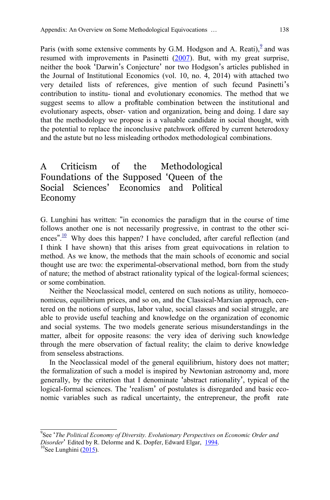Paris (with some extensive comments by G.M. Hodgson and A. Reati), $\frac{9}{2}$  and was resumed with improvements in Pasinetti (2007). But, with my great surprise, neither the book 'Darwin's Conjecture' nor two Hodgson's articles published in the Journal of Institutional Economics (vol. 10, no. 4, 2014) with attached two very detailed lists of references, give mention of such fecund Pasinetti's contribution to institu- tional and evolutionary economics. The method that we suggest seems to allow a profitable combination between the institutional and evolutionary aspects, obser- vation and organization, being and doing. I dare say that the methodology we propose is a valuable candidate in social thought, with the potential to replace the inconclusive patchwork offered by current heterodoxy and the astute but no less misleading orthodox methodological combinations.

#### A Criticism of the Methodological Foundations of the Supposed 'Queen of the Social Sciences' Economics and Political Economy

G. Lunghini has written: "in economics the paradigm that in the course of time follows another one is not necessarily progressive, in contrast to the other sciences".<sup>10</sup> Why does this happen? I have concluded, after careful reflection (and I think I have shown) that this arises from great equivocations in relation to method. As we know, the methods that the main schools of economic and social thought use are two: the experimental-observational method, born from the study of nature; the method of abstract rationality typical of the logical-formal sciences; or some combination.

Neither the Neoclassical model, centered on such notions as utility, homoeconomicus, equilibrium prices, and so on, and the Classical-Marxian approach, centered on the notions of surplus, labor value, social classes and social struggle, are able to provide useful teaching and knowledge on the organization of economic and social systems. The two models generate serious misunderstandings in the matter, albeit for opposite reasons: the very idea of deriving such knowledge through the mere observation of factual reality; the claim to derive knowledge from senseless abstractions.

In the Neoclassical model of the general equilibrium, history does not matter; the formalization of such a model is inspired by Newtonian astronomy and, more generally, by the criterion that I denominate 'abstract rationality', typical of the logical-formal sciences. The 'realism' of postulates is disregarded and basic economic variables such as radical uncertainty, the entrepreneur, the profit rate

<sup>9</sup> See '*The Political Economy of Diversity. Evolutionary Perspectives on Economic Order and Disorder*' Edited by R. Delorme and K. Dopfer, Edward Elgar, 1994.

 $10$ See Lunghini (2015).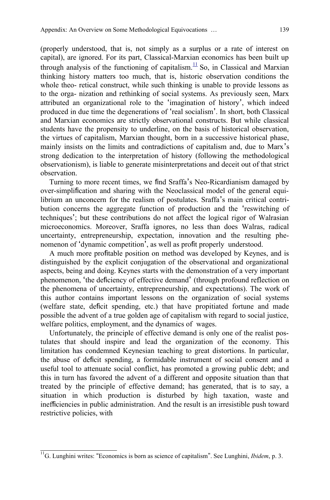(properly understood, that is, not simply as a surplus or a rate of interest on capital), are ignored. For its part, Classical-Marxian economics has been built up through analysis of the functioning of capitalism.<sup>11</sup> So, in Classical and Marxian thinking history matters too much, that is, historic observation conditions the whole theo- retical construct, while such thinking is unable to provide lessons as to the orga- nization and rethinking of social systems. As previously seen, Marx attributed an organizational role to the 'imagination of history', which indeed produced in due time the degenerations of 'real socialism'. In short, both Classical and Marxian economics are strictly observational constructs. But while classical students have the propensity to underline, on the basis of historical observation, the virtues of capitalism, Marxian thought, born in a successive historical phase, mainly insists on the limits and contradictions of capitalism and, due to Marx's strong dedication to the interpretation of history (following the methodological observationism), is liable to generate misinterpretations and deceit out of that strict observation.

Turning to more recent times, we find Sraffa's Neo-Ricardianism damaged by over-simplification and sharing with the Neoclassical model of the general equilibrium an unconcern for the realism of postulates. Sraffa's main critical contribution concerns the aggregate function of production and the 'reswitching of techniques'; but these contributions do not affect the logical rigor of Walrasian microeconomics. Moreover, Sraffa ignores, no less than does Walras, radical uncertainty, entrepreneurship, expectation, innovation and the resulting phenomenon of 'dynamic competition', as well as profit properly understood.

A much more profitable position on method was developed by Keynes, and is distinguished by the explicit conjugation of the observational and organizational aspects, being and doing. Keynes starts with the demonstration of a very important phenomenon, 'the deficiency of effective demand' (through profound reflection on the phenomena of uncertainty, entrepreneurship, and expectations). The work of this author contains important lessons on the organization of social systems (welfare state, deficit spending, etc.) that have propitiated fortune and made possible the advent of a true golden age of capitalism with regard to social justice, welfare politics, employment, and the dynamics of wages.

Unfortunately, the principle of effective demand is only one of the realist postulates that should inspire and lead the organization of the economy. This limitation has condemned Keynesian teaching to great distortions. In particular, the abuse of deficit spending, a formidable instrument of social consent and a useful tool to attenuate social conflict, has promoted a growing public debt; and this in turn has favored the advent of a different and opposite situation than that treated by the principle of effective demand; has generated, that is to say, a situation in which production is disturbed by high taxation, waste and inefficiencies in public administration. And the result is an irresistible push toward restrictive policies, with

<sup>&</sup>lt;sup>11</sup>G. Lunghini writes: "Economics is born as science of capitalism". See Lunghini, *Ibidem*, p. 3.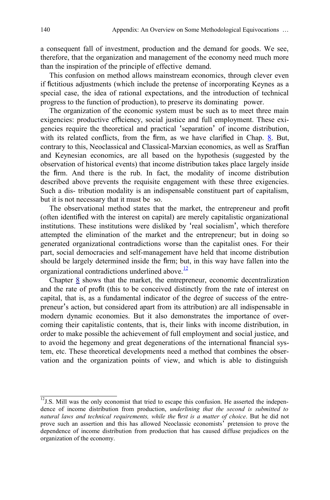a consequent fall of investment, production and the demand for goods. We see, therefore, that the organization and management of the economy need much more than the inspiration of the principle of effective demand.

This confusion on method allows mainstream economics, through clever even if fictitious adjustments (which include the pretense of incorporating Keynes as a special case, the idea of rational expectations, and the introduction of technical progress to the function of production), to preserve its dominating power.

The organization of the economic system must be such as to meet three main exigencies: productive efficiency, social justice and full employment. These exigencies require the theoretical and practical 'separation' of income distribution, with its related conflicts, from the firm, as we have clarified in Chap. 8. But, contrary to this, Neoclassical and Classical-Marxian economics, as well as Sraffian and Keynesian economics, are all based on the hypothesis (suggested by the observation of historical events) that income distribution takes place largely inside the firm. And there is the rub. In fact, the modality of income distribution described above prevents the requisite engagement with these three exigencies. Such a dis- tribution modality is an indispensable constituent part of capitalism, but it is not necessary that it must be so.

The observational method states that the market, the entrepreneur and profit (often identified with the interest on capital) are merely capitalistic organizational institutions. These institutions were disliked by 'real socialism', which therefore attempted the elimination of the market and the entrepreneur; but in doing so generated organizational contradictions worse than the capitalist ones. For their part, social democracies and self-management have held that income distribution should be largely determined inside the firm; but, in this way have fallen into the organizational contradictions underlined above. $\frac{12}{12}$ 

Chapter  $\frac{8}{3}$  shows that the market, the entrepreneur, economic decentralization and the rate of profit (this to be conceived distinctly from the rate of interest on capital, that is, as a fundamental indicator of the degree of success of the entrepreneur's action, but considered apart from its attribution) are all indispensable in modern dynamic economies. But it also demonstrates the importance of overcoming their capitalistic contents, that is, their links with income distribution, in order to make possible the achievement of full employment and social justice, and to avoid the hegemony and great degenerations of the international financial system, etc. These theoretical developments need a method that combines the observation and the organization points of view, and which is able to distinguish

 $12$ J.S. Mill was the only economist that tried to escape this confusion. He asserted the independence of income distribution from production, *underlining that the second is submitted to natural laws and technical requirements, while the* fi*rst is a matter of choice*. But he did not prove such an assertion and this has allowed Neoclassic economists' pretension to prove the dependence of income distribution from production that has caused diffuse prejudices on the organization of the economy.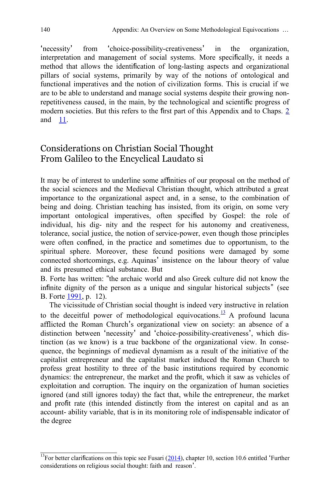'necessity' from 'choice-possibility-creativeness' in the organization, interpretation and management of social systems. More specifically, it needs a method that allows the identification of long-lasting aspects and organizational pillars of social systems, primarily by way of the notions of ontological and functional imperatives and the notion of civilization forms. This is crucial if we are to be able to understand and manage social systems despite their growing nonrepetitiveness caused, in the main, by the technological and scientific progress of modern societies. But this refers to the first part of this Appendix and to Chaps. 2 and 11.

#### Considerations on Christian Social Thought From Galileo to the Encyclical Laudato si

It may be of interest to underline some affinities of our proposal on the method of the social sciences and the Medieval Christian thought, which attributed a great importance to the organizational aspect and, in a sense, to the combination of being and doing. Christian teaching has insisted, from its origin, on some very important ontological imperatives, often specified by Gospel: the role of individual, his dig- nity and the respect for his autonomy and creativeness, tolerance, social justice, the notion of service-power, even though those principles were often confined, in the practice and sometimes due to opportunism, to the spiritual sphere. Moreover, these fecund positions were damaged by some connected shortcomings, e.g. Aquinas' insistence on the labour theory of value and its presumed ethical substance. But

B. Forte has written: "the archaic world and also Greek culture did not know the infinite dignity of the person as a unique and singular historical subjects" (see B. Forte 1991, p. 12).

The vicissitude of Christian social thought is indeed very instructive in relation to the deceitful power of methodological equivocations.<sup>13</sup> A profound lacuna afflicted the Roman Church's organizational view on society: an absence of a distinction between 'necessity' and 'choice-possibility-creativeness', which distinction (as we know) is a true backbone of the organizational view. In consequence, the beginnings of medieval dynamism as a result of the initiative of the capitalist entrepreneur and the capitalist market induced the Roman Church to profess great hostility to three of the basic institutions required by economic dynamics: the entrepreneur, the market and the profit, which it saw as vehicles of exploitation and corruption. The inquiry on the organization of human societies ignored (and still ignores today) the fact that, while the entrepreneur, the market and profit rate (this intended distinctly from the interest on capital and as an account- ability variable, that is in its monitoring role of indispensable indicator of the degree

 $\frac{13}{13}$ For better clarifications on this topic see Fusari (2014), chapter 10, section 10.6 entitled 'Further considerations on religious social thought: faith and reason'.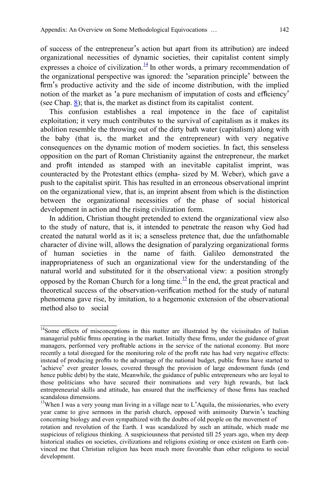of success of the entrepreneur's action but apart from its attribution) are indeed organizational necessities of dynamic societies, their capitalist content simply expresses a choice of civilization.<sup>14</sup> In other words, a primary recommendation of the organizational perspective was ignored: the 'separation principle' between the firm's productive activity and the side of income distribution, with the implied notion of the market as 'a pure mechanism of imputation of costs and efficiency' (see Chap. 8); that is, the market as distinct from its capitalist content.

This confusion establishes a real impotence in the face of capitalist exploitation; it very much contributes to the survival of capitalism as it makes its abolition resemble the throwing out of the dirty bath water (capitalism) along with the baby (that is, the market and the entrepreneur) with very negative consequences on the dynamic motion of modern societies. In fact, this senseless opposition on the part of Roman Christianity against the entrepreneur, the market and profit intended as stamped with an inevitable capitalist imprint, was counteracted by the Protestant ethics (empha- sized by M. Weber), which gave a push to the capitalist spirit. This has resulted in an erroneous observational imprint on the organizational view, that is, an imprint absent from which is the distinction between the organizational necessities of the phase of social historical development in action and the rising civilization form.

In addition, Christian thought pretended to extend the organizational view also to the study of nature, that is, it intended to penetrate the reason why God had created the natural world as it is; a senseless pretence that, due the unfathomable character of divine will, allows the designation of paralyzing organizational forms of human societies in the name of faith. Galileo demonstrated the inappropriateness of such an organizational view for the understanding of the natural world and substituted for it the observational view: a position strongly opposed by the Roman Church for a long time.<sup>15</sup> In the end, the great practical and theoretical success of the observation-verification method for the study of natural phenomena gave rise, by imitation, to a hegemonic extension of the observational method also to social

<sup>&</sup>lt;sup>14</sup>Some effects of misconceptions in this matter are illustrated by the vicissitudes of Italian managerial public firms operating in the market. Initially these firms, under the guidance of great managers, performed very profitable actions in the service of the national economy. But more recently a total disregard for the monitoring role of the profit rate has had very negative effects: instead of producing profits to the advantage of the national budget, public firms have started to 'achieve' ever greater losses, covered through the provision of large endowment funds (end hence public debt) by the state, Meanwhile, the guidance of public entrepreneurs who are loyal to those politicians who have secured their nominations and very high rewards, but lack entrepreneurial skills and attitude, has ensured that the inefficiency of those firms has reached scandalous dimensions.<br><sup>15</sup>When I was a very young man living in a village near to L'Aquila, the missionaries, who every

year came to give sermons in the parish church, opposed with animosity Darwin's teaching concerning biology and even sympathized with the doubts of old people on the movement of rotation and revolution of the Earth. I was scandalized by such an attitude, which made me suspicious of religious thinking. A suspiciousness that persisted till 25 years ago, when my deep historical studies on societies, civilizations and religions existing or once existent on Earth convinced me that Christian religion has been much more favorable than other religions to social development.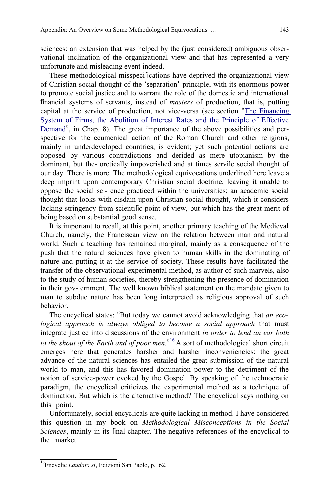sciences: an extension that was helped by the (just considered) ambiguous observational inclination of the organizational view and that has represented a very unfortunate and misleading event indeed.

These methodological misspecifications have deprived the organizational view of Christian social thought of the 'separation' principle, with its enormous power to promote social justice and to warrant the role of the domestic and international financial systems of servants, instead of *masters* of production, that is, putting capital at the service of production, not vice-versa (see section "The Financing System of Firms, the Abolition of Interest Rates and the Principle of Effective Demand", in Chap. 8). The great importance of the above possibilities and perspective for the ecumenical action of the Roman Church and other religions, mainly in underdeveloped countries, is evident; yet such potential actions are opposed by various contradictions and derided as mere utopianism by the dominant, but the- oretically impoverished and at times servile social thought of our day. There is more. The methodological equivocations underlined here leave a deep imprint upon contemporary Christian social doctrine, leaving it unable to oppose the social sci- ence practiced within the universities; an academic social thought that looks with disdain upon Christian social thought, which it considers lacking stringency from scientific point of view, but which has the great merit of being based on substantial good sense.

It is important to recall, at this point, another primary teaching of the Medieval Church, namely, the Franciscan view on the relation between man and natural world. Such a teaching has remained marginal, mainly as a consequence of the push that the natural sciences have given to human skills in the dominating of nature and putting it at the service of society. These results have facilitated the transfer of the observational-experimental method, as author of such marvels, also to the study of human societies, thereby strengthening the presence of domination in their gov- ernment. The well known biblical statement on the mandate given to man to subdue nature has been long interpreted as religious approval of such behavior.

The encyclical states: "But today we cannot avoid acknowledging that *an ecological approach is always obliged to become a social approach* that must integrate justice into discussions of the environment *in order to lend an ear both to the shout of the Earth and of poor men.*" <sup>16</sup> A sort of methodological short circuit emerges here that generates harsher and harsher inconveniencies: the great advance of the natural sciences has entailed the great submission of the natural world to man, and this has favored domination power to the detriment of the notion of service-power evoked by the Gospel. By speaking of the technocratic paradigm, the encyclical criticizes the experimental method as a technique of domination. But which is the alternative method? The encyclical says nothing on this point.

Unfortunately, social encyclicals are quite lacking in method. I have considered this question in my book on *Methodological Misconceptions in the Social Sciences*, mainly in its final chapter. The negative references of the encyclical to the market

<sup>16</sup>Encyclic *Laudato si*, Edizioni San Paolo, p. 62.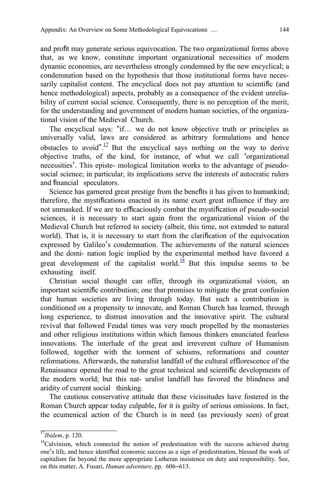and profit may generate serious equivocation. The two organizational forms above that, as we know, constitute important organizational necessities of modern dynamic economies, are nevertheless strongly condemned by the new encyclical; a condemnation based on the hypothesis that those institutional forms have necessarily capitalist content. The encyclical does not pay attention to scientific (and hence methodological) aspects, probably as a consequence of the evident unreliability of current social science. Consequently, there is no perception of the merit, for the understanding and government of modern human societies, of the organizational vision of the Medieval Church.

The encyclical says: "if… we do not know objective truth or principles as universally valid, laws are considered as arbitrary formulations and hence obstacles to avoid".<sup>17</sup> But the encyclical says nothing on the way to derive objective truths, of the kind, for instance, of what we call 'organizational necessities'. This episte- mological limitation works to the advantage of pseudosocial science; in particular, its implications serve the interests of autocratic rulers and financial speculators.

Science has garnered great prestige from the benefits it has given to humankind; therefore, the mystifications enacted in its name exert great influence if they are not unmasked. If we are to efficaciously combat the mystification of pseudo-social sciences, it is necessary to start again from the organizational vision of the Medieval Church but referred to society (albeit, this time, not extended to natural world). That is, it is necessary to start from the clarification of the equivocation expressed by Galileo's condemnation. The achievements of the natural sciences and the domi- nation logic implied by the experimental method have favored a great development of the capitalist world.<sup>18</sup> But this impulse seems to be exhausting itself.

Christian social thought can offer, through its organizational vision, an important scientific contribution; one that promises to mitigate the great confusion that human societies are living through today. But such a contribution is conditioned on a propensity to innovate, and Roman Church has learned, through long experience, to distrust innovation and the innovative spirit. The cultural revival that followed Feudal times was very much propelled by the monasteries and other religious institutions within which famous thinkers enunciated fearless innovations. The interlude of the great and irreverent culture of Humanism followed, together with the torment of schisms, reformations and counter reformations. Afterwards, the naturalist landfall of the cultural efflorescence of the Renaissance opened the road to the great technical and scientific developments of the modern world; but this nat- uralist landfall has favored the blindness and aridity of current social thinking.

The cautious conservative attitude that these vicissitudes have fostered in the Roman Church appear today culpable, for it is guilty of serious omissions. In fact, the ecumenical action of the Church is in need (as previously seen) of great

 $\frac{17}{7}$ *Ibidem*, p. 120.

<sup>&</sup>lt;sup>18</sup>Calvinism, which connected the notion of predestination with the success achieved during one's life, and hence identified economic success as a sign of predestination, blessed the work of capitalism far beyond the more appropriate Lutheran insistence on duty and responsibility. See, on this matter, A. Fusari, *Human adventure*, pp. 606–613.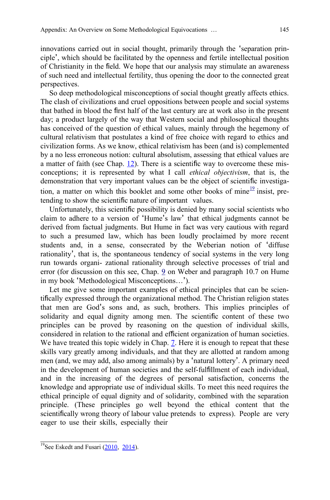innovations carried out in social thought, primarily through the 'separation principle', which should be facilitated by the openness and fertile intellectual position of Christianity in the field. We hope that our analysis may stimulate an awareness of such need and intellectual fertility, thus opening the door to the connected great perspectives.

So deep methodological misconceptions of social thought greatly affects ethics. The clash of civilizations and cruel oppositions between people and social systems that bathed in blood the first half of the last century are at work also in the present day; a product largely of the way that Western social and philosophical thoughts has conceived of the question of ethical values, mainly through the hegemony of cultural relativism that postulates a kind of free choice with regard to ethics and civilization forms. As we know, ethical relativism has been (and is) complemented by a no less erroneous notion: cultural absolutism, assessing that ethical values are a matter of faith (see Chap. 12). There is a scientific way to overcome these misconceptions; it is represented by what I call *ethical objectivism*, that is, the demonstration that very important values can be the object of scientific investigation, a matter on which this booklet and some other books of mine $\frac{19}{2}$  insist, pretending to show the scientific nature of important values.

Unfortunately, this scientific possibility is denied by many social scientists who claim to adhere to a version of 'Hume's law' that ethical judgments cannot be derived from factual judgments. But Hume in fact was very cautious with regard to such a presumed law, which has been loudly proclaimed by more recent students and, in a sense, consecrated by the Weberian notion of 'diffuse rationality', that is, the spontaneous tendency of social systems in the very long run towards organi- zational rationality through selective processes of trial and error (for discussion on this see, Chap. 9 on Weber and paragraph 10.7 on Hume in my book 'Methodological Misconceptions…').

Let me give some important examples of ethical principles that can be scientifically expressed through the organizational method. The Christian religion states that men are God's sons and, as such, brothers. This implies principles of solidarity and equal dignity among men. The scientific content of these two principles can be proved by reasoning on the question of individual skills, considered in relation to the rational and efficient organization of human societies. We have treated this topic widely in Chap. 7. Here it is enough to repeat that these skills vary greatly among individuals, and that they are allotted at random among men (and, we may add, also among animals) by a 'natural lottery'. A primary need in the development of human societies and the self-fulfillment of each individual, and in the increasing of the degrees of personal satisfaction, concerns the knowledge and appropriate use of individual skills. To meet this need requires the ethical principle of equal dignity and of solidarity, combined with the separation principle. (These principles go well beyond the ethical content that the scientifically wrong theory of labour value pretends to express). People are very eager to use their skills, especially their

<sup>&</sup>lt;sup>19</sup>See Eskedt and Fusari  $(2010, 2014)$ .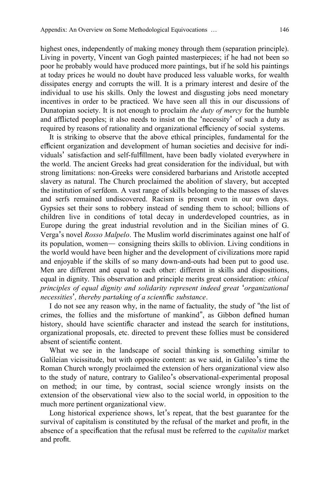highest ones, independently of making money through them (separation principle). Living in poverty, Vincent van Gogh painted masterpieces; if he had not been so poor he probably would have produced more paintings, but if he sold his paintings at today prices he would no doubt have produced less valuable works, for wealth dissipates energy and corrupts the will. It is a primary interest and desire of the individual to use his skills. Only the lowest and disgusting jobs need monetary incentives in order to be practiced. We have seen all this in our discussions of Dunatopian society. It is not enough to proclaim *the duty of mercy* for the humble and afflicted peoples; it also needs to insist on the 'necessity' of such a duty as required by reasons of rationality and organizational efficiency of social systems.

It is striking to observe that the above ethical principles, fundamental for the efficient organization and development of human societies and decisive for individuals' satisfaction and self-fulfillment, have been badly violated everywhere in the world. The ancient Greeks had great consideration for the individual, but with strong limitations: non-Greeks were considered barbarians and Aristotle accepted slavery as natural. The Church proclaimed the abolition of slavery, but accepted the institution of serfdom. A vast range of skills belonging to the masses of slaves and serfs remained undiscovered. Racism is present even in our own days. Gypsies set their sons to robbery instead of sending them to school; billions of children live in conditions of total decay in underdeveloped countries, as in Europe during the great industrial revolution and in the Sicilian mines of G. Verga's novel *Rosso Malpelo*. The Muslim world discriminates against one half of its population, women— consigning theirs skills to oblivion. Living conditions in the world would have been higher and the development of civilizations more rapid and enjoyable if the skills of so many down-and-outs had been put to good use. Men are different and equal to each other: different in skills and dispositions, equal in dignity. This observation and principle merits great consideration: *ethical principles of equal dignity and solidarity represent indeed great* '*organizational necessities*'*, thereby partaking of a scienti*fi*c substance*.

I do not see any reason why, in the name of factuality, the study of "the list of crimes, the follies and the misfortune of mankind", as Gibbon defined human history, should have scientific character and instead the search for institutions, organizational proposals, etc. directed to prevent these follies must be considered absent of scientific content.

What we see in the landscape of social thinking is something similar to Galileian vicissitude, but with opposite content: as we said, in Galileo's time the Roman Church wrongly proclaimed the extension of hers organizational view also to the study of nature, contrary to Galileo's observational-experimental proposal on method; in our time, by contrast, social science wrongly insists on the extension of the observational view also to the social world, in opposition to the much more pertinent organizational view.

Long historical experience shows, let's repeat, that the best guarantee for the survival of capitalism is constituted by the refusal of the market and profit, in the absence of a specification that the refusal must be referred to the *capitalist* market and profit.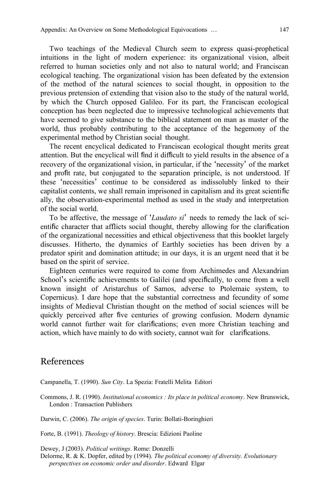Two teachings of the Medieval Church seem to express quasi-prophetical intuitions in the light of modern experience: its organizational vision, albeit referred to human societies only and not also to natural world; and Franciscan ecological teaching. The organizational vision has been defeated by the extension of the method of the natural sciences to social thought, in opposition to the previous pretension of extending that vision also to the study of the natural world, by which the Church opposed Galileo. For its part, the Franciscan ecological conception has been neglected due to impressive technological achievements that have seemed to give substance to the biblical statement on man as master of the world, thus probably contributing to the acceptance of the hegemony of the experimental method by Christian social thought.

The recent encyclical dedicated to Franciscan ecological thought merits great attention. But the encyclical will find it difficult to yield results in the absence of a recovery of the organizational vision, in particular, if the 'necessity' of the market and profit rate, but conjugated to the separation principle, is not understood. If these 'necessities' continue to be considered as indissolubly linked to their capitalist contents, we shall remain imprisoned in capitalism and its great scientific ally, the observation-experimental method as used in the study and interpretation of the social world.

To be affective, the message of '*Laudato si*' needs to remedy the lack of scientific character that afflicts social thought, thereby allowing for the clarification of the organizational necessities and ethical objectiveness that this booklet largely discusses. Hitherto, the dynamics of Earthly societies has been driven by a predator spirit and domination attitude; in our days, it is an urgent need that it be based on the spirit of service.

Eighteen centuries were required to come from Archimedes and Alexandrian School's scientific achievements to Galilei (and specifically, to come from a well known insight of Aristarchus of Samos, adverse to Ptolemaic system, to Copernicus). I dare hope that the substantial correctness and fecundity of some insights of Medieval Christian thought on the method of social sciences will be quickly perceived after five centuries of growing confusion. Modern dynamic world cannot further wait for clarifications; even more Christian teaching and action, which have mainly to do with society, cannot wait for clarifications.

#### References

Campanella, T. (1990). *Sun City*. La Spezia: Fratelli Melita Editori

Commons, J. R. (1990). *Institutional economics : Its place in political economy*. New Brunswick, London : Transaction Publishers

Darwin, C. (2006). *The origin of species*. Turin: Bollati-Boringhieri

Forte, B. (1991). *Theology of history*. Brescia: Edizioni Paoline

Dewey, J (2003). *Political writings*. Rome: Donzelli

Delorme, R. & K. Dopfer, edited by (1994). *The political economy of diversity. Evolutionary perspectives on economic order and disorder*. Edward Elgar